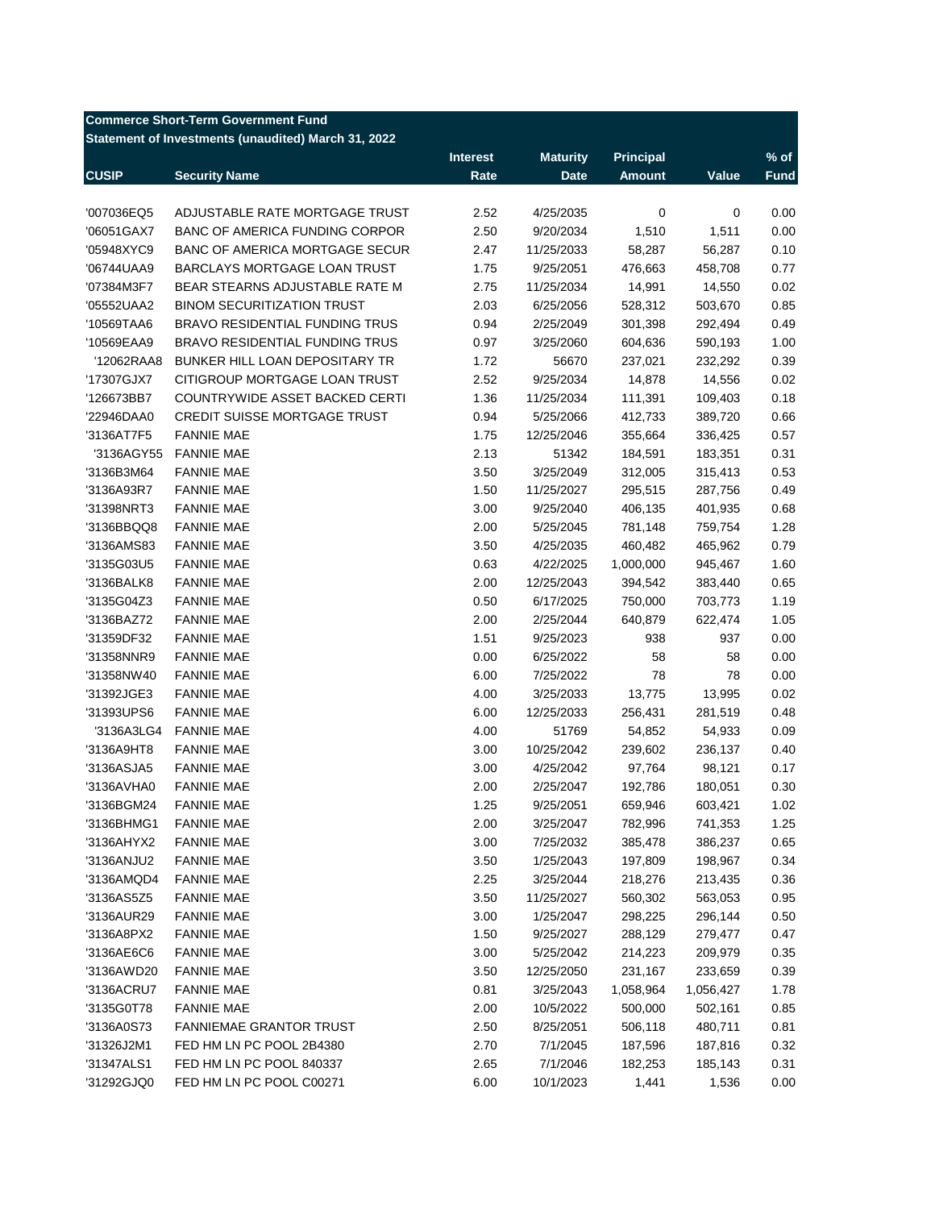#### **Commerce Short-Term Government Fund**

### **Statement of Investments (unaudited) March 31, 2022**

|              |                                       | <b>Interest</b> | <b>Maturity</b> | <b>Principal</b> |           | $%$ of      |
|--------------|---------------------------------------|-----------------|-----------------|------------------|-----------|-------------|
| <b>CUSIP</b> | <b>Security Name</b>                  | Rate            | <b>Date</b>     | <b>Amount</b>    | Value     | <b>Fund</b> |
|              |                                       |                 |                 |                  |           |             |
| '007036EQ5   | ADJUSTABLE RATE MORTGAGE TRUST        | 2.52            | 4/25/2035       | 0                | 0         | 0.00        |
| '06051GAX7   | BANC OF AMERICA FUNDING CORPOR        | 2.50            | 9/20/2034       | 1,510            | 1,511     | 0.00        |
| '05948XYC9   | <b>BANC OF AMERICA MORTGAGE SECUR</b> | 2.47            | 11/25/2033      | 58,287           | 56,287    | 0.10        |
| '06744UAA9   | BARCLAYS MORTGAGE LOAN TRUST          | 1.75            | 9/25/2051       | 476,663          | 458,708   | 0.77        |
| '07384M3F7   | BEAR STEARNS ADJUSTABLE RATE M        | 2.75            | 11/25/2034      | 14,991           | 14,550    | 0.02        |
| '05552UAA2   | <b>BINOM SECURITIZATION TRUST</b>     | 2.03            | 6/25/2056       | 528,312          | 503,670   | 0.85        |
| '10569TAA6   | <b>BRAVO RESIDENTIAL FUNDING TRUS</b> | 0.94            | 2/25/2049       | 301,398          | 292,494   | 0.49        |
| '10569EAA9   | <b>BRAVO RESIDENTIAL FUNDING TRUS</b> | 0.97            | 3/25/2060       | 604,636          | 590,193   | 1.00        |
| '12062RAA8   | BUNKER HILL LOAN DEPOSITARY TR        | 1.72            | 56670           | 237,021          | 232,292   | 0.39        |
| '17307GJX7   | CITIGROUP MORTGAGE LOAN TRUST         | 2.52            | 9/25/2034       | 14,878           | 14,556    | 0.02        |
| '126673BB7   | COUNTRYWIDE ASSET BACKED CERTI        | 1.36            | 11/25/2034      | 111,391          | 109,403   | 0.18        |
| '22946DAA0   | <b>CREDIT SUISSE MORTGAGE TRUST</b>   | 0.94            | 5/25/2066       | 412,733          | 389,720   | 0.66        |
| '3136AT7F5   | <b>FANNIE MAE</b>                     | 1.75            | 12/25/2046      | 355,664          | 336,425   | 0.57        |
| '3136AGY55   | <b>FANNIE MAE</b>                     | 2.13            | 51342           | 184,591          | 183,351   | 0.31        |
| '3136B3M64   | <b>FANNIE MAE</b>                     | 3.50            | 3/25/2049       | 312,005          | 315,413   | 0.53        |
| '3136A93R7   | <b>FANNIE MAE</b>                     | 1.50            | 11/25/2027      | 295,515          | 287,756   | 0.49        |
| '31398NRT3   | <b>FANNIE MAE</b>                     | 3.00            | 9/25/2040       | 406,135          | 401,935   | 0.68        |
| '3136BBQQ8   | <b>FANNIE MAE</b>                     | 2.00            | 5/25/2045       | 781,148          | 759,754   | 1.28        |
| '3136AMS83   | <b>FANNIE MAE</b>                     | 3.50            | 4/25/2035       | 460,482          | 465,962   | 0.79        |
| '3135G03U5   | <b>FANNIE MAE</b>                     | 0.63            | 4/22/2025       | 1,000,000        | 945,467   | 1.60        |
| '3136BALK8   | <b>FANNIE MAE</b>                     | 2.00            | 12/25/2043      | 394,542          | 383,440   | 0.65        |
| '3135G04Z3   | <b>FANNIE MAE</b>                     | 0.50            | 6/17/2025       | 750,000          | 703,773   | 1.19        |
| '3136BAZ72   | <b>FANNIE MAE</b>                     | 2.00            | 2/25/2044       | 640,879          | 622,474   | 1.05        |
| '31359DF32   | <b>FANNIE MAE</b>                     | 1.51            | 9/25/2023       | 938              | 937       | 0.00        |
| '31358NNR9   | <b>FANNIE MAE</b>                     | 0.00            | 6/25/2022       | 58               | 58        | 0.00        |
| '31358NW40   | <b>FANNIE MAE</b>                     | 6.00            | 7/25/2022       | 78               | 78        | 0.00        |
| '31392JGE3   | <b>FANNIE MAE</b>                     | 4.00            | 3/25/2033       | 13,775           | 13,995    | 0.02        |
| '31393UPS6   | <b>FANNIE MAE</b>                     | 6.00            | 12/25/2033      | 256,431          | 281,519   | 0.48        |
| '3136A3LG4   | <b>FANNIE MAE</b>                     | 4.00            | 51769           | 54,852           | 54,933    | 0.09        |
| '3136A9HT8   | <b>FANNIE MAE</b>                     | 3.00            | 10/25/2042      | 239,602          | 236,137   | 0.40        |
| '3136ASJA5   | <b>FANNIE MAE</b>                     | 3.00            | 4/25/2042       | 97,764           | 98,121    | 0.17        |
| '3136AVHA0   | <b>FANNIE MAE</b>                     | 2.00            | 2/25/2047       | 192,786          | 180,051   | 0.30        |
| '3136BGM24   | <b>FANNIE MAE</b>                     | 1.25            | 9/25/2051       | 659,946          | 603,421   | 1.02        |
| '3136BHMG1   | <b>FANNIE MAE</b>                     | 2.00            | 3/25/2047       | 782,996          | 741,353   | 1.25        |
| '3136AHYX2   | <b>FANNIE MAE</b>                     | 3.00            | 7/25/2032       | 385,478          | 386,237   | 0.65        |
| '3136ANJU2   | <b>FANNIE MAE</b>                     | 3.50            | 1/25/2043       | 197,809          | 198,967   | 0.34        |
| '3136AMQD4   | <b>FANNIE MAE</b>                     | 2.25            | 3/25/2044       | 218,276          | 213,435   | 0.36        |
| '3136AS5Z5   | <b>FANNIE MAE</b>                     | 3.50            | 11/25/2027      | 560,302          | 563,053   | 0.95        |
| '3136AUR29   | <b>FANNIE MAE</b>                     | 3.00            | 1/25/2047       | 298,225          | 296,144   | 0.50        |
| '3136A8PX2   | <b>FANNIE MAE</b>                     | 1.50            | 9/25/2027       | 288,129          | 279,477   | 0.47        |
| '3136AE6C6   | <b>FANNIE MAE</b>                     | 3.00            | 5/25/2042       | 214,223          | 209,979   | 0.35        |
| '3136AWD20   | <b>FANNIE MAE</b>                     | 3.50            | 12/25/2050      | 231,167          | 233,659   | 0.39        |
|              |                                       |                 |                 |                  |           |             |
| '3136ACRU7   | <b>FANNIE MAE</b>                     | 0.81            | 3/25/2043       | 1,058,964        | 1,056,427 | 1.78        |
| '3135G0T78   | <b>FANNIE MAE</b>                     | 2.00            | 10/5/2022       | 500,000          | 502,161   | 0.85        |
| '3136A0S73   | <b>FANNIEMAE GRANTOR TRUST</b>        | 2.50            | 8/25/2051       | 506,118          | 480,711   | 0.81        |
| '31326J2M1   | FED HM LN PC POOL 2B4380              | 2.70            | 7/1/2045        | 187,596          | 187,816   | 0.32        |
| '31347ALS1   | FED HM LN PC POOL 840337              | 2.65            | 7/1/2046        | 182,253          | 185,143   | 0.31        |
| '31292GJQ0   | FED HM LN PC POOL C00271              | 6.00            | 10/1/2023       | 1,441            | 1,536     | 0.00        |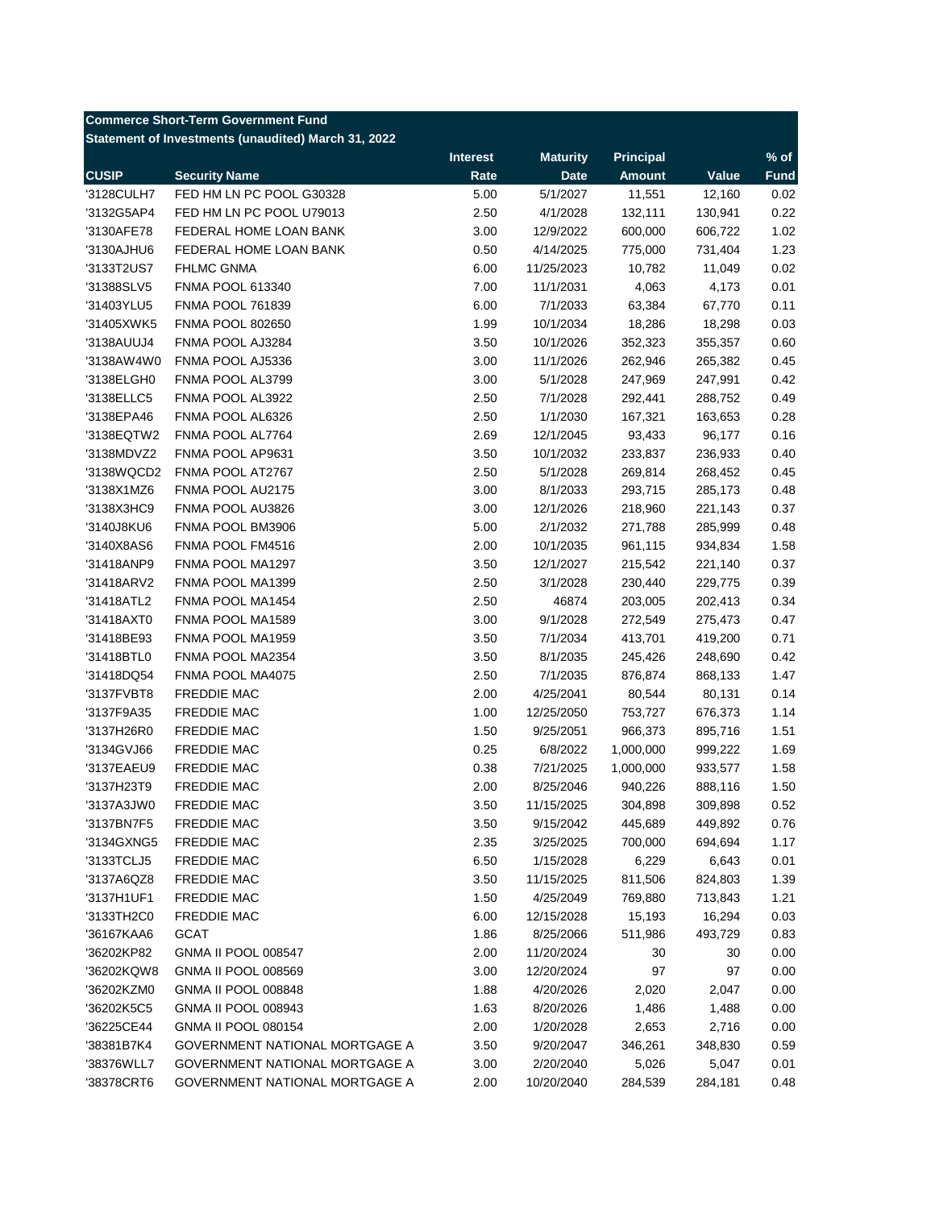## **Commerce Short-Term Government Fund**

#### **Statement of Investments (unaudited) March 31, 2022**

|              |                                       | <b>Interest</b> | <b>Maturity</b> | <b>Principal</b> |         | $%$ of      |
|--------------|---------------------------------------|-----------------|-----------------|------------------|---------|-------------|
| <b>CUSIP</b> | <b>Security Name</b>                  | Rate            | <b>Date</b>     | <b>Amount</b>    | Value   | <b>Fund</b> |
| '3128CULH7   | FED HM LN PC POOL G30328              | 5.00            | 5/1/2027        | 11,551           | 12,160  | 0.02        |
| '3132G5AP4   | FED HM LN PC POOL U79013              | 2.50            | 4/1/2028        | 132,111          | 130,941 | 0.22        |
| '3130AFE78   | FEDERAL HOME LOAN BANK                | 3.00            | 12/9/2022       | 600,000          | 606,722 | 1.02        |
| '3130AJHU6   | FEDERAL HOME LOAN BANK                | 0.50            | 4/14/2025       | 775,000          | 731,404 | 1.23        |
| '3133T2US7   | <b>FHLMC GNMA</b>                     | 6.00            | 11/25/2023      | 10,782           | 11,049  | 0.02        |
| '31388SLV5   | <b>FNMA POOL 613340</b>               | 7.00            | 11/1/2031       | 4,063            | 4,173   | 0.01        |
| '31403YLU5   | <b>FNMA POOL 761839</b>               | 6.00            | 7/1/2033        | 63,384           | 67,770  | 0.11        |
| '31405XWK5   | <b>FNMA POOL 802650</b>               | 1.99            | 10/1/2034       | 18,286           | 18,298  | 0.03        |
| '3138AUUJ4   | FNMA POOL AJ3284                      | 3.50            | 10/1/2026       | 352,323          | 355,357 | 0.60        |
| '3138AW4W0   | FNMA POOL AJ5336                      | 3.00            | 11/1/2026       | 262,946          | 265,382 | 0.45        |
| '3138ELGH0   | FNMA POOL AL3799                      | 3.00            | 5/1/2028        | 247,969          | 247,991 | 0.42        |
| '3138ELLC5   | FNMA POOL AL3922                      | 2.50            | 7/1/2028        | 292,441          | 288,752 | 0.49        |
| '3138EPA46   | FNMA POOL AL6326                      | 2.50            | 1/1/2030        | 167,321          | 163,653 | 0.28        |
| '3138EQTW2   | FNMA POOL AL7764                      | 2.69            | 12/1/2045       | 93,433           | 96,177  | 0.16        |
| '3138MDVZ2   | FNMA POOL AP9631                      | 3.50            | 10/1/2032       | 233,837          | 236,933 | 0.40        |
| '3138WQCD2   | FNMA POOL AT2767                      | 2.50            | 5/1/2028        | 269,814          | 268,452 | 0.45        |
| '3138X1MZ6   | FNMA POOL AU2175                      | 3.00            | 8/1/2033        | 293,715          | 285,173 | 0.48        |
| '3138X3HC9   | FNMA POOL AU3826                      | 3.00            | 12/1/2026       | 218,960          | 221,143 | 0.37        |
| '3140J8KU6   | FNMA POOL BM3906                      | 5.00            | 2/1/2032        | 271,788          | 285,999 | 0.48        |
| '3140X8AS6   | FNMA POOL FM4516                      | 2.00            | 10/1/2035       | 961,115          | 934,834 | 1.58        |
| '31418ANP9   | FNMA POOL MA1297                      | 3.50            | 12/1/2027       | 215,542          | 221,140 | 0.37        |
| '31418ARV2   | FNMA POOL MA1399                      | 2.50            | 3/1/2028        | 230,440          | 229,775 | 0.39        |
| '31418ATL2   | FNMA POOL MA1454                      | 2.50            | 46874           | 203,005          | 202,413 | 0.34        |
| '31418AXT0   | FNMA POOL MA1589                      | 3.00            | 9/1/2028        | 272,549          | 275,473 | 0.47        |
| '31418BE93   | FNMA POOL MA1959                      | 3.50            | 7/1/2034        | 413,701          | 419,200 | 0.71        |
| '31418BTL0   | FNMA POOL MA2354                      | 3.50            | 8/1/2035        | 245,426          | 248,690 | 0.42        |
| '31418DQ54   | FNMA POOL MA4075                      | 2.50            | 7/1/2035        | 876,874          | 868,133 | 1.47        |
| '3137FVBT8   | FREDDIE MAC                           | 2.00            | 4/25/2041       | 80,544           | 80,131  | 0.14        |
| '3137F9A35   | FREDDIE MAC                           | 1.00            | 12/25/2050      | 753,727          | 676,373 | 1.14        |
| '3137H26R0   | FREDDIE MAC                           | 1.50            | 9/25/2051       | 966,373          | 895,716 | 1.51        |
| '3134GVJ66   | FREDDIE MAC                           | 0.25            | 6/8/2022        | 1,000,000        | 999,222 | 1.69        |
| '3137EAEU9   | FREDDIE MAC                           | 0.38            | 7/21/2025       | 1,000,000        | 933,577 | 1.58        |
| '3137H23T9   | <b>FREDDIE MAC</b>                    | 2.00            | 8/25/2046       | 940,226          | 888,116 | 1.50        |
| '3137A3JW0   | FREDDIE MAC                           | 3.50            | 11/15/2025      | 304,898          | 309,898 | 0.52        |
| '3137BN7F5   | <b>FREDDIE MAC</b>                    | 3.50            | 9/15/2042       | 445,689          | 449,892 | 0.76        |
| '3134GXNG5   | <b>FREDDIE MAC</b>                    | 2.35            | 3/25/2025       | 700,000          | 694,694 | 1.17        |
| '3133TCLJ5   | FREDDIE MAC                           | 6.50            | 1/15/2028       | 6,229            | 6,643   | 0.01        |
| '3137A6QZ8   | FREDDIE MAC                           | 3.50            | 11/15/2025      | 811,506          | 824,803 | 1.39        |
| '3137H1UF1   | FREDDIE MAC                           | 1.50            | 4/25/2049       | 769,880          | 713,843 | 1.21        |
| '3133TH2C0   | FREDDIE MAC                           | 6.00            | 12/15/2028      | 15,193           | 16,294  | 0.03        |
| '36167KAA6   | <b>GCAT</b>                           | 1.86            | 8/25/2066       | 511,986          | 493,729 | 0.83        |
| '36202KP82   | <b>GNMA II POOL 008547</b>            | 2.00            | 11/20/2024      | 30               | 30      | 0.00        |
| '36202KQW8   | <b>GNMA II POOL 008569</b>            | 3.00            | 12/20/2024      | 97               | 97      | 0.00        |
| '36202KZM0   | <b>GNMA II POOL 008848</b>            | 1.88            | 4/20/2026       | 2,020            | 2,047   | 0.00        |
| '36202K5C5   | <b>GNMA II POOL 008943</b>            | 1.63            | 8/20/2026       | 1,486            | 1,488   | 0.00        |
| '36225CE44   | <b>GNMA II POOL 080154</b>            | 2.00            | 1/20/2028       | 2,653            | 2,716   | 0.00        |
| '38381B7K4   | GOVERNMENT NATIONAL MORTGAGE A        | 3.50            | 9/20/2047       | 346,261          | 348,830 | 0.59        |
| '38376WLL7   | <b>GOVERNMENT NATIONAL MORTGAGE A</b> | 3.00            | 2/20/2040       | 5,026            | 5,047   | 0.01        |
| '38378CRT6   | GOVERNMENT NATIONAL MORTGAGE A        | 2.00            | 10/20/2040      | 284,539          | 284,181 | 0.48        |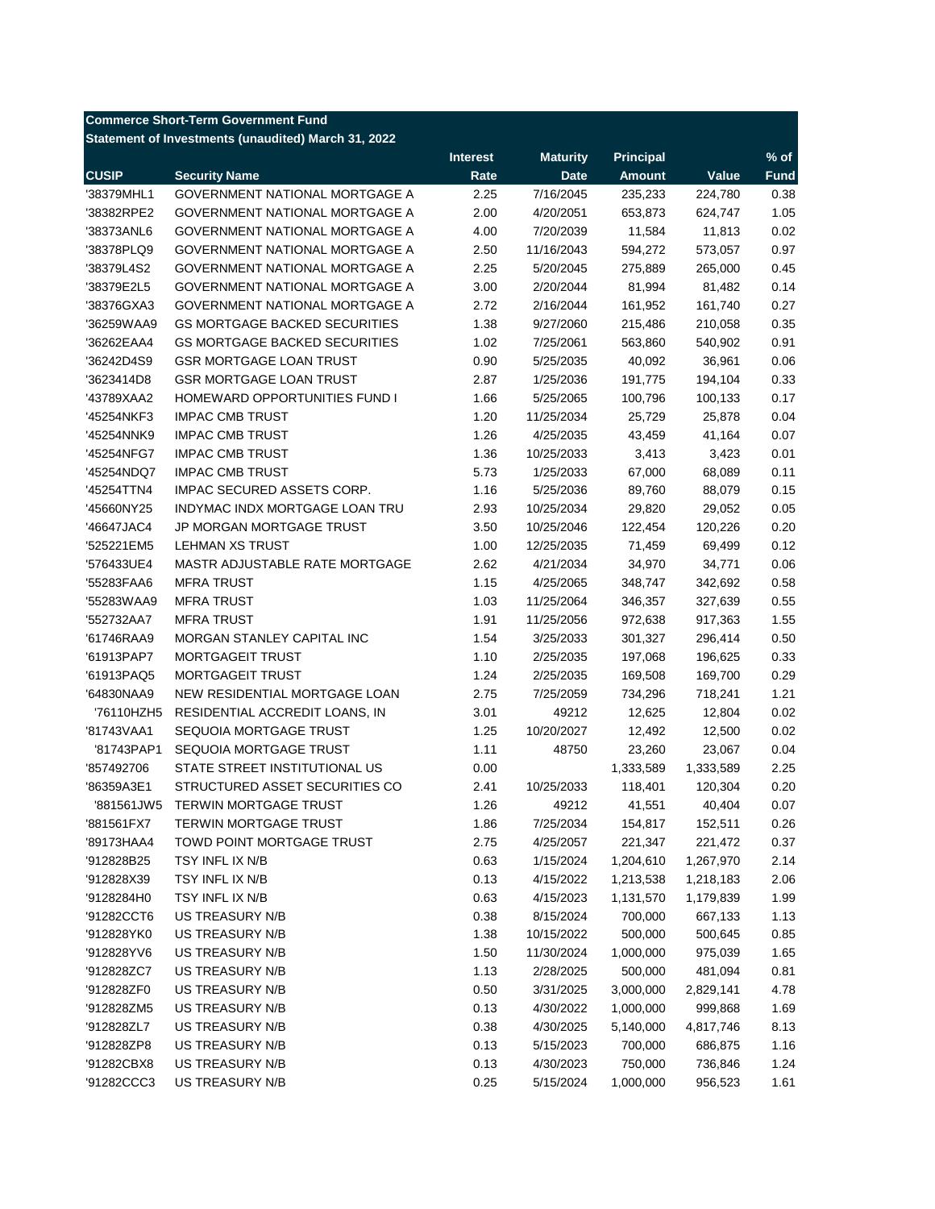# **Commerce Short-Term Government Fund**

**Statement of Investments (unaudited) March 31, 2022**

| <b>CUSIP</b><br><b>Amount</b><br>Value<br><b>Security Name</b><br>Rate<br><b>Date</b><br><b>Fund</b><br>2.25<br>7/16/2045<br>0.38<br>'38379MHL1<br><b>GOVERNMENT NATIONAL MORTGAGE A</b><br>235,233<br>224,780<br>'38382RPE2<br>2.00<br>1.05<br>GOVERNMENT NATIONAL MORTGAGE A<br>4/20/2051<br>653,873<br>624,747<br>4.00<br>0.02<br>'38373ANL6<br>GOVERNMENT NATIONAL MORTGAGE A<br>7/20/2039<br>11,584<br>11,813<br>0.97<br>'38378PLQ9<br>GOVERNMENT NATIONAL MORTGAGE A<br>2.50<br>11/16/2043<br>594,272<br>573,057<br>2.25<br>0.45<br>'38379L4S2<br><b>GOVERNMENT NATIONAL MORTGAGE A</b><br>5/20/2045<br>275,889<br>265,000<br>3.00<br>0.14<br>'38379E2L5<br>GOVERNMENT NATIONAL MORTGAGE A<br>2/20/2044<br>81,994<br>81,482<br>'38376GXA3<br><b>GOVERNMENT NATIONAL MORTGAGE A</b><br>2.72<br>2/16/2044<br>161,952<br>161,740<br>0.27<br>0.35<br>'36259WAA9<br><b>GS MORTGAGE BACKED SECURITIES</b><br>1.38<br>9/27/2060<br>215,486<br>210,058<br>1.02<br>0.91<br>'36262EAA4<br><b>GS MORTGAGE BACKED SECURITIES</b><br>7/25/2061<br>563,860<br>540,902<br>0.90<br>0.06<br>'36242D4S9<br><b>GSR MORTGAGE LOAN TRUST</b><br>5/25/2035<br>40,092<br>36,961<br>0.33<br>'3623414D8<br><b>GSR MORTGAGE LOAN TRUST</b><br>2.87<br>1/25/2036<br>191,775<br>194,104<br>1.66<br>0.17<br>'43789XAA2<br>HOMEWARD OPPORTUNITIES FUND I<br>5/25/2065<br>100,796<br>100,133<br><b>IMPAC CMB TRUST</b><br>1.20<br>0.04<br>'45254NKF3<br>11/25/2034<br>25,729<br>25,878<br>1.26<br>0.07<br>'45254NNK9<br><b>IMPAC CMB TRUST</b><br>4/25/2035<br>43,459<br>41,164<br><b>IMPAC CMB TRUST</b><br>1.36<br>0.01<br>'45254NFG7<br>10/25/2033<br>3,413<br>3,423<br><b>IMPAC CMB TRUST</b><br>5.73<br>0.11<br>'45254NDQ7<br>1/25/2033<br>67,000<br>68,089<br>1.16<br>0.15<br>IMPAC SECURED ASSETS CORP.<br>5/25/2036<br>89,760<br>88,079<br>'45254TTN4<br>0.05<br>'45660NY25<br>INDYMAC INDX MORTGAGE LOAN TRU<br>2.93<br>10/25/2034<br>29,820<br>29,052<br>0.20<br>'46647JAC4<br>JP MORGAN MORTGAGE TRUST<br>3.50<br>10/25/2046<br>122,454<br>120,226<br>0.12<br><b>LEHMAN XS TRUST</b><br>1.00<br>71,459<br>69,499<br>'525221EM5<br>12/25/2035<br>2.62<br>0.06<br>'576433UE4<br>MASTR ADJUSTABLE RATE MORTGAGE<br>4/21/2034<br>34,970<br>34,771<br>1.15<br>0.58<br>'55283FAA6<br><b>MFRA TRUST</b><br>4/25/2065<br>348,747<br>342,692<br>1.03<br>'55283WAA9<br><b>MFRA TRUST</b><br>11/25/2064<br>346,357<br>327,639<br>0.55<br>1.91<br>1.55<br>'552732AA7<br><b>MFRA TRUST</b><br>11/25/2056<br>972,638<br>917,363<br>1.54<br>0.50<br>'61746RAA9<br>MORGAN STANLEY CAPITAL INC<br>3/25/2033<br>301,327<br>296,414<br>1.10<br>0.33<br>'61913PAP7<br>MORTGAGEIT TRUST<br>2/25/2035<br>197,068<br>196,625<br>1.24<br>0.29<br>'61913PAQ5<br><b>MORTGAGEIT TRUST</b><br>2/25/2035<br>169,508<br>169,700<br>1.21<br>'64830NAA9<br>NEW RESIDENTIAL MORTGAGE LOAN<br>2.75<br>7/25/2059<br>718,241<br>734,296<br>3.01<br>0.02<br>'76110HZH5<br>RESIDENTIAL ACCREDIT LOANS, IN<br>49212<br>12,625<br>12,804<br>1.25<br>10/20/2027<br>0.02<br>'81743VAA1<br>SEQUOIA MORTGAGE TRUST<br>12,492<br>12,500<br>0.04<br>'81743PAP1<br>SEQUOIA MORTGAGE TRUST<br>1.11<br>23,260<br>48750<br>23,067<br>2.25<br>'857492706<br>STATE STREET INSTITUTIONAL US<br>0.00<br>1,333,589<br>1,333,589<br>0.20<br>'86359A3E1<br>STRUCTURED ASSET SECURITIES CO<br>2.41<br>10/25/2033<br>118,401<br>120,304<br>1.26<br>0.07<br>'881561JW5<br><b>TERWIN MORTGAGE TRUST</b><br>49212<br>41,551<br>40,404<br>0.26<br>'881561FX7<br><b>TERWIN MORTGAGE TRUST</b><br>1.86<br>7/25/2034<br>152,511<br>154,817<br>'89173HAA4<br>TOWD POINT MORTGAGE TRUST<br>2.75<br>4/25/2057<br>221,347<br>221,472<br>0.37<br>'912828B25<br>0.63<br>1/15/2024<br>1,204,610<br>2.14<br>TSY INFL IX N/B<br>1,267,970<br>'912828X39<br>TSY INFL IX N/B<br>0.13<br>4/15/2022<br>2.06<br>1,213,538<br>1,218,183<br>'9128284H0<br>TSY INFL IX N/B<br>0.63<br>4/15/2023<br>1.99<br>1,131,570<br>1,179,839<br>'91282CCT6<br>US TREASURY N/B<br>0.38<br>8/15/2024<br>700,000<br>667,133<br>1.13<br>'912828YK0<br><b>US TREASURY N/B</b><br>1.38<br>500,000<br>0.85<br>10/15/2022<br>500,645<br>'912828YV6<br>US TREASURY N/B<br>1.50<br>11/30/2024<br>1,000,000<br>975,039<br>1.65<br>0.81<br>'912828ZC7<br><b>US TREASURY N/B</b><br>1.13<br>2/28/2025<br>500,000<br>481,094<br>4.78<br><b>US TREASURY N/B</b><br>0.50<br>3,000,000<br>'912828ZF0<br>3/31/2025<br>2,829,141<br>'912828ZM5<br>US TREASURY N/B<br>0.13<br>4/30/2022<br>1,000,000<br>999,868<br>1.69<br>'912828ZL7<br>US TREASURY N/B<br>0.38<br>4/30/2025<br>5,140,000<br>8.13<br>4,817,746<br>'912828ZP8<br>US TREASURY N/B<br>0.13<br>700,000<br>1.16<br>5/15/2023<br>686,875<br>0.13<br>750,000<br>1.24<br>'91282CBX8<br>US TREASURY N/B<br>4/30/2023<br>736,846<br>0.25<br>'91282CCC3<br>US TREASURY N/B<br>5/15/2024<br>956,523 |  | <b>Interest</b> | <b>Maturity</b> | <b>Principal</b> | $%$ of |
|--------------------------------------------------------------------------------------------------------------------------------------------------------------------------------------------------------------------------------------------------------------------------------------------------------------------------------------------------------------------------------------------------------------------------------------------------------------------------------------------------------------------------------------------------------------------------------------------------------------------------------------------------------------------------------------------------------------------------------------------------------------------------------------------------------------------------------------------------------------------------------------------------------------------------------------------------------------------------------------------------------------------------------------------------------------------------------------------------------------------------------------------------------------------------------------------------------------------------------------------------------------------------------------------------------------------------------------------------------------------------------------------------------------------------------------------------------------------------------------------------------------------------------------------------------------------------------------------------------------------------------------------------------------------------------------------------------------------------------------------------------------------------------------------------------------------------------------------------------------------------------------------------------------------------------------------------------------------------------------------------------------------------------------------------------------------------------------------------------------------------------------------------------------------------------------------------------------------------------------------------------------------------------------------------------------------------------------------------------------------------------------------------------------------------------------------------------------------------------------------------------------------------------------------------------------------------------------------------------------------------------------------------------------------------------------------------------------------------------------------------------------------------------------------------------------------------------------------------------------------------------------------------------------------------------------------------------------------------------------------------------------------------------------------------------------------------------------------------------------------------------------------------------------------------------------------------------------------------------------------------------------------------------------------------------------------------------------------------------------------------------------------------------------------------------------------------------------------------------------------------------------------------------------------------------------------------------------------------------------------------------------------------------------------------------------------------------------------------------------------------------------------------------------------------------------------------------------------------------------------------------------------------------------------------------------------------------------------------------------------------------------------------------------------------------------------------------------------------------------------------------------------------------------------------------------------------------------------------------------------------------------------------------------------------------------------------------------------------------------------------------------------------------------------------------------------------------------------------------------------------------------------------------------------------------------------------------------------------------------------------------------------------------------------------------------------------------------------------------------------------------------------------------------------------------------------------|--|-----------------|-----------------|------------------|--------|
|                                                                                                                                                                                                                                                                                                                                                                                                                                                                                                                                                                                                                                                                                                                                                                                                                                                                                                                                                                                                                                                                                                                                                                                                                                                                                                                                                                                                                                                                                                                                                                                                                                                                                                                                                                                                                                                                                                                                                                                                                                                                                                                                                                                                                                                                                                                                                                                                                                                                                                                                                                                                                                                                                                                                                                                                                                                                                                                                                                                                                                                                                                                                                                                                                                                                                                                                                                                                                                                                                                                                                                                                                                                                                                                                                                                                                                                                                                                                                                                                                                                                                                                                                                                                                                                                                                                                                                                                                                                                                                                                                                                                                                                                                                                                                                                                                          |  |                 |                 |                  |        |
|                                                                                                                                                                                                                                                                                                                                                                                                                                                                                                                                                                                                                                                                                                                                                                                                                                                                                                                                                                                                                                                                                                                                                                                                                                                                                                                                                                                                                                                                                                                                                                                                                                                                                                                                                                                                                                                                                                                                                                                                                                                                                                                                                                                                                                                                                                                                                                                                                                                                                                                                                                                                                                                                                                                                                                                                                                                                                                                                                                                                                                                                                                                                                                                                                                                                                                                                                                                                                                                                                                                                                                                                                                                                                                                                                                                                                                                                                                                                                                                                                                                                                                                                                                                                                                                                                                                                                                                                                                                                                                                                                                                                                                                                                                                                                                                                                          |  |                 |                 |                  |        |
|                                                                                                                                                                                                                                                                                                                                                                                                                                                                                                                                                                                                                                                                                                                                                                                                                                                                                                                                                                                                                                                                                                                                                                                                                                                                                                                                                                                                                                                                                                                                                                                                                                                                                                                                                                                                                                                                                                                                                                                                                                                                                                                                                                                                                                                                                                                                                                                                                                                                                                                                                                                                                                                                                                                                                                                                                                                                                                                                                                                                                                                                                                                                                                                                                                                                                                                                                                                                                                                                                                                                                                                                                                                                                                                                                                                                                                                                                                                                                                                                                                                                                                                                                                                                                                                                                                                                                                                                                                                                                                                                                                                                                                                                                                                                                                                                                          |  |                 |                 |                  |        |
|                                                                                                                                                                                                                                                                                                                                                                                                                                                                                                                                                                                                                                                                                                                                                                                                                                                                                                                                                                                                                                                                                                                                                                                                                                                                                                                                                                                                                                                                                                                                                                                                                                                                                                                                                                                                                                                                                                                                                                                                                                                                                                                                                                                                                                                                                                                                                                                                                                                                                                                                                                                                                                                                                                                                                                                                                                                                                                                                                                                                                                                                                                                                                                                                                                                                                                                                                                                                                                                                                                                                                                                                                                                                                                                                                                                                                                                                                                                                                                                                                                                                                                                                                                                                                                                                                                                                                                                                                                                                                                                                                                                                                                                                                                                                                                                                                          |  |                 |                 |                  |        |
|                                                                                                                                                                                                                                                                                                                                                                                                                                                                                                                                                                                                                                                                                                                                                                                                                                                                                                                                                                                                                                                                                                                                                                                                                                                                                                                                                                                                                                                                                                                                                                                                                                                                                                                                                                                                                                                                                                                                                                                                                                                                                                                                                                                                                                                                                                                                                                                                                                                                                                                                                                                                                                                                                                                                                                                                                                                                                                                                                                                                                                                                                                                                                                                                                                                                                                                                                                                                                                                                                                                                                                                                                                                                                                                                                                                                                                                                                                                                                                                                                                                                                                                                                                                                                                                                                                                                                                                                                                                                                                                                                                                                                                                                                                                                                                                                                          |  |                 |                 |                  |        |
|                                                                                                                                                                                                                                                                                                                                                                                                                                                                                                                                                                                                                                                                                                                                                                                                                                                                                                                                                                                                                                                                                                                                                                                                                                                                                                                                                                                                                                                                                                                                                                                                                                                                                                                                                                                                                                                                                                                                                                                                                                                                                                                                                                                                                                                                                                                                                                                                                                                                                                                                                                                                                                                                                                                                                                                                                                                                                                                                                                                                                                                                                                                                                                                                                                                                                                                                                                                                                                                                                                                                                                                                                                                                                                                                                                                                                                                                                                                                                                                                                                                                                                                                                                                                                                                                                                                                                                                                                                                                                                                                                                                                                                                                                                                                                                                                                          |  |                 |                 |                  |        |
|                                                                                                                                                                                                                                                                                                                                                                                                                                                                                                                                                                                                                                                                                                                                                                                                                                                                                                                                                                                                                                                                                                                                                                                                                                                                                                                                                                                                                                                                                                                                                                                                                                                                                                                                                                                                                                                                                                                                                                                                                                                                                                                                                                                                                                                                                                                                                                                                                                                                                                                                                                                                                                                                                                                                                                                                                                                                                                                                                                                                                                                                                                                                                                                                                                                                                                                                                                                                                                                                                                                                                                                                                                                                                                                                                                                                                                                                                                                                                                                                                                                                                                                                                                                                                                                                                                                                                                                                                                                                                                                                                                                                                                                                                                                                                                                                                          |  |                 |                 |                  |        |
|                                                                                                                                                                                                                                                                                                                                                                                                                                                                                                                                                                                                                                                                                                                                                                                                                                                                                                                                                                                                                                                                                                                                                                                                                                                                                                                                                                                                                                                                                                                                                                                                                                                                                                                                                                                                                                                                                                                                                                                                                                                                                                                                                                                                                                                                                                                                                                                                                                                                                                                                                                                                                                                                                                                                                                                                                                                                                                                                                                                                                                                                                                                                                                                                                                                                                                                                                                                                                                                                                                                                                                                                                                                                                                                                                                                                                                                                                                                                                                                                                                                                                                                                                                                                                                                                                                                                                                                                                                                                                                                                                                                                                                                                                                                                                                                                                          |  |                 |                 |                  |        |
|                                                                                                                                                                                                                                                                                                                                                                                                                                                                                                                                                                                                                                                                                                                                                                                                                                                                                                                                                                                                                                                                                                                                                                                                                                                                                                                                                                                                                                                                                                                                                                                                                                                                                                                                                                                                                                                                                                                                                                                                                                                                                                                                                                                                                                                                                                                                                                                                                                                                                                                                                                                                                                                                                                                                                                                                                                                                                                                                                                                                                                                                                                                                                                                                                                                                                                                                                                                                                                                                                                                                                                                                                                                                                                                                                                                                                                                                                                                                                                                                                                                                                                                                                                                                                                                                                                                                                                                                                                                                                                                                                                                                                                                                                                                                                                                                                          |  |                 |                 |                  |        |
|                                                                                                                                                                                                                                                                                                                                                                                                                                                                                                                                                                                                                                                                                                                                                                                                                                                                                                                                                                                                                                                                                                                                                                                                                                                                                                                                                                                                                                                                                                                                                                                                                                                                                                                                                                                                                                                                                                                                                                                                                                                                                                                                                                                                                                                                                                                                                                                                                                                                                                                                                                                                                                                                                                                                                                                                                                                                                                                                                                                                                                                                                                                                                                                                                                                                                                                                                                                                                                                                                                                                                                                                                                                                                                                                                                                                                                                                                                                                                                                                                                                                                                                                                                                                                                                                                                                                                                                                                                                                                                                                                                                                                                                                                                                                                                                                                          |  |                 |                 |                  |        |
|                                                                                                                                                                                                                                                                                                                                                                                                                                                                                                                                                                                                                                                                                                                                                                                                                                                                                                                                                                                                                                                                                                                                                                                                                                                                                                                                                                                                                                                                                                                                                                                                                                                                                                                                                                                                                                                                                                                                                                                                                                                                                                                                                                                                                                                                                                                                                                                                                                                                                                                                                                                                                                                                                                                                                                                                                                                                                                                                                                                                                                                                                                                                                                                                                                                                                                                                                                                                                                                                                                                                                                                                                                                                                                                                                                                                                                                                                                                                                                                                                                                                                                                                                                                                                                                                                                                                                                                                                                                                                                                                                                                                                                                                                                                                                                                                                          |  |                 |                 |                  |        |
|                                                                                                                                                                                                                                                                                                                                                                                                                                                                                                                                                                                                                                                                                                                                                                                                                                                                                                                                                                                                                                                                                                                                                                                                                                                                                                                                                                                                                                                                                                                                                                                                                                                                                                                                                                                                                                                                                                                                                                                                                                                                                                                                                                                                                                                                                                                                                                                                                                                                                                                                                                                                                                                                                                                                                                                                                                                                                                                                                                                                                                                                                                                                                                                                                                                                                                                                                                                                                                                                                                                                                                                                                                                                                                                                                                                                                                                                                                                                                                                                                                                                                                                                                                                                                                                                                                                                                                                                                                                                                                                                                                                                                                                                                                                                                                                                                          |  |                 |                 |                  |        |
|                                                                                                                                                                                                                                                                                                                                                                                                                                                                                                                                                                                                                                                                                                                                                                                                                                                                                                                                                                                                                                                                                                                                                                                                                                                                                                                                                                                                                                                                                                                                                                                                                                                                                                                                                                                                                                                                                                                                                                                                                                                                                                                                                                                                                                                                                                                                                                                                                                                                                                                                                                                                                                                                                                                                                                                                                                                                                                                                                                                                                                                                                                                                                                                                                                                                                                                                                                                                                                                                                                                                                                                                                                                                                                                                                                                                                                                                                                                                                                                                                                                                                                                                                                                                                                                                                                                                                                                                                                                                                                                                                                                                                                                                                                                                                                                                                          |  |                 |                 |                  |        |
|                                                                                                                                                                                                                                                                                                                                                                                                                                                                                                                                                                                                                                                                                                                                                                                                                                                                                                                                                                                                                                                                                                                                                                                                                                                                                                                                                                                                                                                                                                                                                                                                                                                                                                                                                                                                                                                                                                                                                                                                                                                                                                                                                                                                                                                                                                                                                                                                                                                                                                                                                                                                                                                                                                                                                                                                                                                                                                                                                                                                                                                                                                                                                                                                                                                                                                                                                                                                                                                                                                                                                                                                                                                                                                                                                                                                                                                                                                                                                                                                                                                                                                                                                                                                                                                                                                                                                                                                                                                                                                                                                                                                                                                                                                                                                                                                                          |  |                 |                 |                  |        |
|                                                                                                                                                                                                                                                                                                                                                                                                                                                                                                                                                                                                                                                                                                                                                                                                                                                                                                                                                                                                                                                                                                                                                                                                                                                                                                                                                                                                                                                                                                                                                                                                                                                                                                                                                                                                                                                                                                                                                                                                                                                                                                                                                                                                                                                                                                                                                                                                                                                                                                                                                                                                                                                                                                                                                                                                                                                                                                                                                                                                                                                                                                                                                                                                                                                                                                                                                                                                                                                                                                                                                                                                                                                                                                                                                                                                                                                                                                                                                                                                                                                                                                                                                                                                                                                                                                                                                                                                                                                                                                                                                                                                                                                                                                                                                                                                                          |  |                 |                 |                  |        |
|                                                                                                                                                                                                                                                                                                                                                                                                                                                                                                                                                                                                                                                                                                                                                                                                                                                                                                                                                                                                                                                                                                                                                                                                                                                                                                                                                                                                                                                                                                                                                                                                                                                                                                                                                                                                                                                                                                                                                                                                                                                                                                                                                                                                                                                                                                                                                                                                                                                                                                                                                                                                                                                                                                                                                                                                                                                                                                                                                                                                                                                                                                                                                                                                                                                                                                                                                                                                                                                                                                                                                                                                                                                                                                                                                                                                                                                                                                                                                                                                                                                                                                                                                                                                                                                                                                                                                                                                                                                                                                                                                                                                                                                                                                                                                                                                                          |  |                 |                 |                  |        |
|                                                                                                                                                                                                                                                                                                                                                                                                                                                                                                                                                                                                                                                                                                                                                                                                                                                                                                                                                                                                                                                                                                                                                                                                                                                                                                                                                                                                                                                                                                                                                                                                                                                                                                                                                                                                                                                                                                                                                                                                                                                                                                                                                                                                                                                                                                                                                                                                                                                                                                                                                                                                                                                                                                                                                                                                                                                                                                                                                                                                                                                                                                                                                                                                                                                                                                                                                                                                                                                                                                                                                                                                                                                                                                                                                                                                                                                                                                                                                                                                                                                                                                                                                                                                                                                                                                                                                                                                                                                                                                                                                                                                                                                                                                                                                                                                                          |  |                 |                 |                  |        |
|                                                                                                                                                                                                                                                                                                                                                                                                                                                                                                                                                                                                                                                                                                                                                                                                                                                                                                                                                                                                                                                                                                                                                                                                                                                                                                                                                                                                                                                                                                                                                                                                                                                                                                                                                                                                                                                                                                                                                                                                                                                                                                                                                                                                                                                                                                                                                                                                                                                                                                                                                                                                                                                                                                                                                                                                                                                                                                                                                                                                                                                                                                                                                                                                                                                                                                                                                                                                                                                                                                                                                                                                                                                                                                                                                                                                                                                                                                                                                                                                                                                                                                                                                                                                                                                                                                                                                                                                                                                                                                                                                                                                                                                                                                                                                                                                                          |  |                 |                 |                  |        |
|                                                                                                                                                                                                                                                                                                                                                                                                                                                                                                                                                                                                                                                                                                                                                                                                                                                                                                                                                                                                                                                                                                                                                                                                                                                                                                                                                                                                                                                                                                                                                                                                                                                                                                                                                                                                                                                                                                                                                                                                                                                                                                                                                                                                                                                                                                                                                                                                                                                                                                                                                                                                                                                                                                                                                                                                                                                                                                                                                                                                                                                                                                                                                                                                                                                                                                                                                                                                                                                                                                                                                                                                                                                                                                                                                                                                                                                                                                                                                                                                                                                                                                                                                                                                                                                                                                                                                                                                                                                                                                                                                                                                                                                                                                                                                                                                                          |  |                 |                 |                  |        |
|                                                                                                                                                                                                                                                                                                                                                                                                                                                                                                                                                                                                                                                                                                                                                                                                                                                                                                                                                                                                                                                                                                                                                                                                                                                                                                                                                                                                                                                                                                                                                                                                                                                                                                                                                                                                                                                                                                                                                                                                                                                                                                                                                                                                                                                                                                                                                                                                                                                                                                                                                                                                                                                                                                                                                                                                                                                                                                                                                                                                                                                                                                                                                                                                                                                                                                                                                                                                                                                                                                                                                                                                                                                                                                                                                                                                                                                                                                                                                                                                                                                                                                                                                                                                                                                                                                                                                                                                                                                                                                                                                                                                                                                                                                                                                                                                                          |  |                 |                 |                  |        |
|                                                                                                                                                                                                                                                                                                                                                                                                                                                                                                                                                                                                                                                                                                                                                                                                                                                                                                                                                                                                                                                                                                                                                                                                                                                                                                                                                                                                                                                                                                                                                                                                                                                                                                                                                                                                                                                                                                                                                                                                                                                                                                                                                                                                                                                                                                                                                                                                                                                                                                                                                                                                                                                                                                                                                                                                                                                                                                                                                                                                                                                                                                                                                                                                                                                                                                                                                                                                                                                                                                                                                                                                                                                                                                                                                                                                                                                                                                                                                                                                                                                                                                                                                                                                                                                                                                                                                                                                                                                                                                                                                                                                                                                                                                                                                                                                                          |  |                 |                 |                  |        |
|                                                                                                                                                                                                                                                                                                                                                                                                                                                                                                                                                                                                                                                                                                                                                                                                                                                                                                                                                                                                                                                                                                                                                                                                                                                                                                                                                                                                                                                                                                                                                                                                                                                                                                                                                                                                                                                                                                                                                                                                                                                                                                                                                                                                                                                                                                                                                                                                                                                                                                                                                                                                                                                                                                                                                                                                                                                                                                                                                                                                                                                                                                                                                                                                                                                                                                                                                                                                                                                                                                                                                                                                                                                                                                                                                                                                                                                                                                                                                                                                                                                                                                                                                                                                                                                                                                                                                                                                                                                                                                                                                                                                                                                                                                                                                                                                                          |  |                 |                 |                  |        |
|                                                                                                                                                                                                                                                                                                                                                                                                                                                                                                                                                                                                                                                                                                                                                                                                                                                                                                                                                                                                                                                                                                                                                                                                                                                                                                                                                                                                                                                                                                                                                                                                                                                                                                                                                                                                                                                                                                                                                                                                                                                                                                                                                                                                                                                                                                                                                                                                                                                                                                                                                                                                                                                                                                                                                                                                                                                                                                                                                                                                                                                                                                                                                                                                                                                                                                                                                                                                                                                                                                                                                                                                                                                                                                                                                                                                                                                                                                                                                                                                                                                                                                                                                                                                                                                                                                                                                                                                                                                                                                                                                                                                                                                                                                                                                                                                                          |  |                 |                 |                  |        |
|                                                                                                                                                                                                                                                                                                                                                                                                                                                                                                                                                                                                                                                                                                                                                                                                                                                                                                                                                                                                                                                                                                                                                                                                                                                                                                                                                                                                                                                                                                                                                                                                                                                                                                                                                                                                                                                                                                                                                                                                                                                                                                                                                                                                                                                                                                                                                                                                                                                                                                                                                                                                                                                                                                                                                                                                                                                                                                                                                                                                                                                                                                                                                                                                                                                                                                                                                                                                                                                                                                                                                                                                                                                                                                                                                                                                                                                                                                                                                                                                                                                                                                                                                                                                                                                                                                                                                                                                                                                                                                                                                                                                                                                                                                                                                                                                                          |  |                 |                 |                  |        |
|                                                                                                                                                                                                                                                                                                                                                                                                                                                                                                                                                                                                                                                                                                                                                                                                                                                                                                                                                                                                                                                                                                                                                                                                                                                                                                                                                                                                                                                                                                                                                                                                                                                                                                                                                                                                                                                                                                                                                                                                                                                                                                                                                                                                                                                                                                                                                                                                                                                                                                                                                                                                                                                                                                                                                                                                                                                                                                                                                                                                                                                                                                                                                                                                                                                                                                                                                                                                                                                                                                                                                                                                                                                                                                                                                                                                                                                                                                                                                                                                                                                                                                                                                                                                                                                                                                                                                                                                                                                                                                                                                                                                                                                                                                                                                                                                                          |  |                 |                 |                  |        |
|                                                                                                                                                                                                                                                                                                                                                                                                                                                                                                                                                                                                                                                                                                                                                                                                                                                                                                                                                                                                                                                                                                                                                                                                                                                                                                                                                                                                                                                                                                                                                                                                                                                                                                                                                                                                                                                                                                                                                                                                                                                                                                                                                                                                                                                                                                                                                                                                                                                                                                                                                                                                                                                                                                                                                                                                                                                                                                                                                                                                                                                                                                                                                                                                                                                                                                                                                                                                                                                                                                                                                                                                                                                                                                                                                                                                                                                                                                                                                                                                                                                                                                                                                                                                                                                                                                                                                                                                                                                                                                                                                                                                                                                                                                                                                                                                                          |  |                 |                 |                  |        |
|                                                                                                                                                                                                                                                                                                                                                                                                                                                                                                                                                                                                                                                                                                                                                                                                                                                                                                                                                                                                                                                                                                                                                                                                                                                                                                                                                                                                                                                                                                                                                                                                                                                                                                                                                                                                                                                                                                                                                                                                                                                                                                                                                                                                                                                                                                                                                                                                                                                                                                                                                                                                                                                                                                                                                                                                                                                                                                                                                                                                                                                                                                                                                                                                                                                                                                                                                                                                                                                                                                                                                                                                                                                                                                                                                                                                                                                                                                                                                                                                                                                                                                                                                                                                                                                                                                                                                                                                                                                                                                                                                                                                                                                                                                                                                                                                                          |  |                 |                 |                  |        |
|                                                                                                                                                                                                                                                                                                                                                                                                                                                                                                                                                                                                                                                                                                                                                                                                                                                                                                                                                                                                                                                                                                                                                                                                                                                                                                                                                                                                                                                                                                                                                                                                                                                                                                                                                                                                                                                                                                                                                                                                                                                                                                                                                                                                                                                                                                                                                                                                                                                                                                                                                                                                                                                                                                                                                                                                                                                                                                                                                                                                                                                                                                                                                                                                                                                                                                                                                                                                                                                                                                                                                                                                                                                                                                                                                                                                                                                                                                                                                                                                                                                                                                                                                                                                                                                                                                                                                                                                                                                                                                                                                                                                                                                                                                                                                                                                                          |  |                 |                 |                  |        |
|                                                                                                                                                                                                                                                                                                                                                                                                                                                                                                                                                                                                                                                                                                                                                                                                                                                                                                                                                                                                                                                                                                                                                                                                                                                                                                                                                                                                                                                                                                                                                                                                                                                                                                                                                                                                                                                                                                                                                                                                                                                                                                                                                                                                                                                                                                                                                                                                                                                                                                                                                                                                                                                                                                                                                                                                                                                                                                                                                                                                                                                                                                                                                                                                                                                                                                                                                                                                                                                                                                                                                                                                                                                                                                                                                                                                                                                                                                                                                                                                                                                                                                                                                                                                                                                                                                                                                                                                                                                                                                                                                                                                                                                                                                                                                                                                                          |  |                 |                 |                  |        |
|                                                                                                                                                                                                                                                                                                                                                                                                                                                                                                                                                                                                                                                                                                                                                                                                                                                                                                                                                                                                                                                                                                                                                                                                                                                                                                                                                                                                                                                                                                                                                                                                                                                                                                                                                                                                                                                                                                                                                                                                                                                                                                                                                                                                                                                                                                                                                                                                                                                                                                                                                                                                                                                                                                                                                                                                                                                                                                                                                                                                                                                                                                                                                                                                                                                                                                                                                                                                                                                                                                                                                                                                                                                                                                                                                                                                                                                                                                                                                                                                                                                                                                                                                                                                                                                                                                                                                                                                                                                                                                                                                                                                                                                                                                                                                                                                                          |  |                 |                 |                  |        |
|                                                                                                                                                                                                                                                                                                                                                                                                                                                                                                                                                                                                                                                                                                                                                                                                                                                                                                                                                                                                                                                                                                                                                                                                                                                                                                                                                                                                                                                                                                                                                                                                                                                                                                                                                                                                                                                                                                                                                                                                                                                                                                                                                                                                                                                                                                                                                                                                                                                                                                                                                                                                                                                                                                                                                                                                                                                                                                                                                                                                                                                                                                                                                                                                                                                                                                                                                                                                                                                                                                                                                                                                                                                                                                                                                                                                                                                                                                                                                                                                                                                                                                                                                                                                                                                                                                                                                                                                                                                                                                                                                                                                                                                                                                                                                                                                                          |  |                 |                 |                  |        |
|                                                                                                                                                                                                                                                                                                                                                                                                                                                                                                                                                                                                                                                                                                                                                                                                                                                                                                                                                                                                                                                                                                                                                                                                                                                                                                                                                                                                                                                                                                                                                                                                                                                                                                                                                                                                                                                                                                                                                                                                                                                                                                                                                                                                                                                                                                                                                                                                                                                                                                                                                                                                                                                                                                                                                                                                                                                                                                                                                                                                                                                                                                                                                                                                                                                                                                                                                                                                                                                                                                                                                                                                                                                                                                                                                                                                                                                                                                                                                                                                                                                                                                                                                                                                                                                                                                                                                                                                                                                                                                                                                                                                                                                                                                                                                                                                                          |  |                 |                 |                  |        |
|                                                                                                                                                                                                                                                                                                                                                                                                                                                                                                                                                                                                                                                                                                                                                                                                                                                                                                                                                                                                                                                                                                                                                                                                                                                                                                                                                                                                                                                                                                                                                                                                                                                                                                                                                                                                                                                                                                                                                                                                                                                                                                                                                                                                                                                                                                                                                                                                                                                                                                                                                                                                                                                                                                                                                                                                                                                                                                                                                                                                                                                                                                                                                                                                                                                                                                                                                                                                                                                                                                                                                                                                                                                                                                                                                                                                                                                                                                                                                                                                                                                                                                                                                                                                                                                                                                                                                                                                                                                                                                                                                                                                                                                                                                                                                                                                                          |  |                 |                 |                  |        |
|                                                                                                                                                                                                                                                                                                                                                                                                                                                                                                                                                                                                                                                                                                                                                                                                                                                                                                                                                                                                                                                                                                                                                                                                                                                                                                                                                                                                                                                                                                                                                                                                                                                                                                                                                                                                                                                                                                                                                                                                                                                                                                                                                                                                                                                                                                                                                                                                                                                                                                                                                                                                                                                                                                                                                                                                                                                                                                                                                                                                                                                                                                                                                                                                                                                                                                                                                                                                                                                                                                                                                                                                                                                                                                                                                                                                                                                                                                                                                                                                                                                                                                                                                                                                                                                                                                                                                                                                                                                                                                                                                                                                                                                                                                                                                                                                                          |  |                 |                 |                  |        |
|                                                                                                                                                                                                                                                                                                                                                                                                                                                                                                                                                                                                                                                                                                                                                                                                                                                                                                                                                                                                                                                                                                                                                                                                                                                                                                                                                                                                                                                                                                                                                                                                                                                                                                                                                                                                                                                                                                                                                                                                                                                                                                                                                                                                                                                                                                                                                                                                                                                                                                                                                                                                                                                                                                                                                                                                                                                                                                                                                                                                                                                                                                                                                                                                                                                                                                                                                                                                                                                                                                                                                                                                                                                                                                                                                                                                                                                                                                                                                                                                                                                                                                                                                                                                                                                                                                                                                                                                                                                                                                                                                                                                                                                                                                                                                                                                                          |  |                 |                 |                  |        |
|                                                                                                                                                                                                                                                                                                                                                                                                                                                                                                                                                                                                                                                                                                                                                                                                                                                                                                                                                                                                                                                                                                                                                                                                                                                                                                                                                                                                                                                                                                                                                                                                                                                                                                                                                                                                                                                                                                                                                                                                                                                                                                                                                                                                                                                                                                                                                                                                                                                                                                                                                                                                                                                                                                                                                                                                                                                                                                                                                                                                                                                                                                                                                                                                                                                                                                                                                                                                                                                                                                                                                                                                                                                                                                                                                                                                                                                                                                                                                                                                                                                                                                                                                                                                                                                                                                                                                                                                                                                                                                                                                                                                                                                                                                                                                                                                                          |  |                 |                 |                  |        |
|                                                                                                                                                                                                                                                                                                                                                                                                                                                                                                                                                                                                                                                                                                                                                                                                                                                                                                                                                                                                                                                                                                                                                                                                                                                                                                                                                                                                                                                                                                                                                                                                                                                                                                                                                                                                                                                                                                                                                                                                                                                                                                                                                                                                                                                                                                                                                                                                                                                                                                                                                                                                                                                                                                                                                                                                                                                                                                                                                                                                                                                                                                                                                                                                                                                                                                                                                                                                                                                                                                                                                                                                                                                                                                                                                                                                                                                                                                                                                                                                                                                                                                                                                                                                                                                                                                                                                                                                                                                                                                                                                                                                                                                                                                                                                                                                                          |  |                 |                 |                  |        |
|                                                                                                                                                                                                                                                                                                                                                                                                                                                                                                                                                                                                                                                                                                                                                                                                                                                                                                                                                                                                                                                                                                                                                                                                                                                                                                                                                                                                                                                                                                                                                                                                                                                                                                                                                                                                                                                                                                                                                                                                                                                                                                                                                                                                                                                                                                                                                                                                                                                                                                                                                                                                                                                                                                                                                                                                                                                                                                                                                                                                                                                                                                                                                                                                                                                                                                                                                                                                                                                                                                                                                                                                                                                                                                                                                                                                                                                                                                                                                                                                                                                                                                                                                                                                                                                                                                                                                                                                                                                                                                                                                                                                                                                                                                                                                                                                                          |  |                 |                 |                  |        |
|                                                                                                                                                                                                                                                                                                                                                                                                                                                                                                                                                                                                                                                                                                                                                                                                                                                                                                                                                                                                                                                                                                                                                                                                                                                                                                                                                                                                                                                                                                                                                                                                                                                                                                                                                                                                                                                                                                                                                                                                                                                                                                                                                                                                                                                                                                                                                                                                                                                                                                                                                                                                                                                                                                                                                                                                                                                                                                                                                                                                                                                                                                                                                                                                                                                                                                                                                                                                                                                                                                                                                                                                                                                                                                                                                                                                                                                                                                                                                                                                                                                                                                                                                                                                                                                                                                                                                                                                                                                                                                                                                                                                                                                                                                                                                                                                                          |  |                 |                 |                  |        |
|                                                                                                                                                                                                                                                                                                                                                                                                                                                                                                                                                                                                                                                                                                                                                                                                                                                                                                                                                                                                                                                                                                                                                                                                                                                                                                                                                                                                                                                                                                                                                                                                                                                                                                                                                                                                                                                                                                                                                                                                                                                                                                                                                                                                                                                                                                                                                                                                                                                                                                                                                                                                                                                                                                                                                                                                                                                                                                                                                                                                                                                                                                                                                                                                                                                                                                                                                                                                                                                                                                                                                                                                                                                                                                                                                                                                                                                                                                                                                                                                                                                                                                                                                                                                                                                                                                                                                                                                                                                                                                                                                                                                                                                                                                                                                                                                                          |  |                 |                 |                  |        |
|                                                                                                                                                                                                                                                                                                                                                                                                                                                                                                                                                                                                                                                                                                                                                                                                                                                                                                                                                                                                                                                                                                                                                                                                                                                                                                                                                                                                                                                                                                                                                                                                                                                                                                                                                                                                                                                                                                                                                                                                                                                                                                                                                                                                                                                                                                                                                                                                                                                                                                                                                                                                                                                                                                                                                                                                                                                                                                                                                                                                                                                                                                                                                                                                                                                                                                                                                                                                                                                                                                                                                                                                                                                                                                                                                                                                                                                                                                                                                                                                                                                                                                                                                                                                                                                                                                                                                                                                                                                                                                                                                                                                                                                                                                                                                                                                                          |  |                 |                 |                  |        |
|                                                                                                                                                                                                                                                                                                                                                                                                                                                                                                                                                                                                                                                                                                                                                                                                                                                                                                                                                                                                                                                                                                                                                                                                                                                                                                                                                                                                                                                                                                                                                                                                                                                                                                                                                                                                                                                                                                                                                                                                                                                                                                                                                                                                                                                                                                                                                                                                                                                                                                                                                                                                                                                                                                                                                                                                                                                                                                                                                                                                                                                                                                                                                                                                                                                                                                                                                                                                                                                                                                                                                                                                                                                                                                                                                                                                                                                                                                                                                                                                                                                                                                                                                                                                                                                                                                                                                                                                                                                                                                                                                                                                                                                                                                                                                                                                                          |  |                 |                 |                  |        |
|                                                                                                                                                                                                                                                                                                                                                                                                                                                                                                                                                                                                                                                                                                                                                                                                                                                                                                                                                                                                                                                                                                                                                                                                                                                                                                                                                                                                                                                                                                                                                                                                                                                                                                                                                                                                                                                                                                                                                                                                                                                                                                                                                                                                                                                                                                                                                                                                                                                                                                                                                                                                                                                                                                                                                                                                                                                                                                                                                                                                                                                                                                                                                                                                                                                                                                                                                                                                                                                                                                                                                                                                                                                                                                                                                                                                                                                                                                                                                                                                                                                                                                                                                                                                                                                                                                                                                                                                                                                                                                                                                                                                                                                                                                                                                                                                                          |  |                 |                 |                  |        |
|                                                                                                                                                                                                                                                                                                                                                                                                                                                                                                                                                                                                                                                                                                                                                                                                                                                                                                                                                                                                                                                                                                                                                                                                                                                                                                                                                                                                                                                                                                                                                                                                                                                                                                                                                                                                                                                                                                                                                                                                                                                                                                                                                                                                                                                                                                                                                                                                                                                                                                                                                                                                                                                                                                                                                                                                                                                                                                                                                                                                                                                                                                                                                                                                                                                                                                                                                                                                                                                                                                                                                                                                                                                                                                                                                                                                                                                                                                                                                                                                                                                                                                                                                                                                                                                                                                                                                                                                                                                                                                                                                                                                                                                                                                                                                                                                                          |  |                 |                 |                  |        |
|                                                                                                                                                                                                                                                                                                                                                                                                                                                                                                                                                                                                                                                                                                                                                                                                                                                                                                                                                                                                                                                                                                                                                                                                                                                                                                                                                                                                                                                                                                                                                                                                                                                                                                                                                                                                                                                                                                                                                                                                                                                                                                                                                                                                                                                                                                                                                                                                                                                                                                                                                                                                                                                                                                                                                                                                                                                                                                                                                                                                                                                                                                                                                                                                                                                                                                                                                                                                                                                                                                                                                                                                                                                                                                                                                                                                                                                                                                                                                                                                                                                                                                                                                                                                                                                                                                                                                                                                                                                                                                                                                                                                                                                                                                                                                                                                                          |  |                 |                 |                  |        |
|                                                                                                                                                                                                                                                                                                                                                                                                                                                                                                                                                                                                                                                                                                                                                                                                                                                                                                                                                                                                                                                                                                                                                                                                                                                                                                                                                                                                                                                                                                                                                                                                                                                                                                                                                                                                                                                                                                                                                                                                                                                                                                                                                                                                                                                                                                                                                                                                                                                                                                                                                                                                                                                                                                                                                                                                                                                                                                                                                                                                                                                                                                                                                                                                                                                                                                                                                                                                                                                                                                                                                                                                                                                                                                                                                                                                                                                                                                                                                                                                                                                                                                                                                                                                                                                                                                                                                                                                                                                                                                                                                                                                                                                                                                                                                                                                                          |  |                 |                 |                  |        |
|                                                                                                                                                                                                                                                                                                                                                                                                                                                                                                                                                                                                                                                                                                                                                                                                                                                                                                                                                                                                                                                                                                                                                                                                                                                                                                                                                                                                                                                                                                                                                                                                                                                                                                                                                                                                                                                                                                                                                                                                                                                                                                                                                                                                                                                                                                                                                                                                                                                                                                                                                                                                                                                                                                                                                                                                                                                                                                                                                                                                                                                                                                                                                                                                                                                                                                                                                                                                                                                                                                                                                                                                                                                                                                                                                                                                                                                                                                                                                                                                                                                                                                                                                                                                                                                                                                                                                                                                                                                                                                                                                                                                                                                                                                                                                                                                                          |  |                 |                 |                  |        |
|                                                                                                                                                                                                                                                                                                                                                                                                                                                                                                                                                                                                                                                                                                                                                                                                                                                                                                                                                                                                                                                                                                                                                                                                                                                                                                                                                                                                                                                                                                                                                                                                                                                                                                                                                                                                                                                                                                                                                                                                                                                                                                                                                                                                                                                                                                                                                                                                                                                                                                                                                                                                                                                                                                                                                                                                                                                                                                                                                                                                                                                                                                                                                                                                                                                                                                                                                                                                                                                                                                                                                                                                                                                                                                                                                                                                                                                                                                                                                                                                                                                                                                                                                                                                                                                                                                                                                                                                                                                                                                                                                                                                                                                                                                                                                                                                                          |  |                 |                 |                  |        |
|                                                                                                                                                                                                                                                                                                                                                                                                                                                                                                                                                                                                                                                                                                                                                                                                                                                                                                                                                                                                                                                                                                                                                                                                                                                                                                                                                                                                                                                                                                                                                                                                                                                                                                                                                                                                                                                                                                                                                                                                                                                                                                                                                                                                                                                                                                                                                                                                                                                                                                                                                                                                                                                                                                                                                                                                                                                                                                                                                                                                                                                                                                                                                                                                                                                                                                                                                                                                                                                                                                                                                                                                                                                                                                                                                                                                                                                                                                                                                                                                                                                                                                                                                                                                                                                                                                                                                                                                                                                                                                                                                                                                                                                                                                                                                                                                                          |  |                 |                 |                  |        |
|                                                                                                                                                                                                                                                                                                                                                                                                                                                                                                                                                                                                                                                                                                                                                                                                                                                                                                                                                                                                                                                                                                                                                                                                                                                                                                                                                                                                                                                                                                                                                                                                                                                                                                                                                                                                                                                                                                                                                                                                                                                                                                                                                                                                                                                                                                                                                                                                                                                                                                                                                                                                                                                                                                                                                                                                                                                                                                                                                                                                                                                                                                                                                                                                                                                                                                                                                                                                                                                                                                                                                                                                                                                                                                                                                                                                                                                                                                                                                                                                                                                                                                                                                                                                                                                                                                                                                                                                                                                                                                                                                                                                                                                                                                                                                                                                                          |  |                 |                 | 1,000,000        | 1.61   |